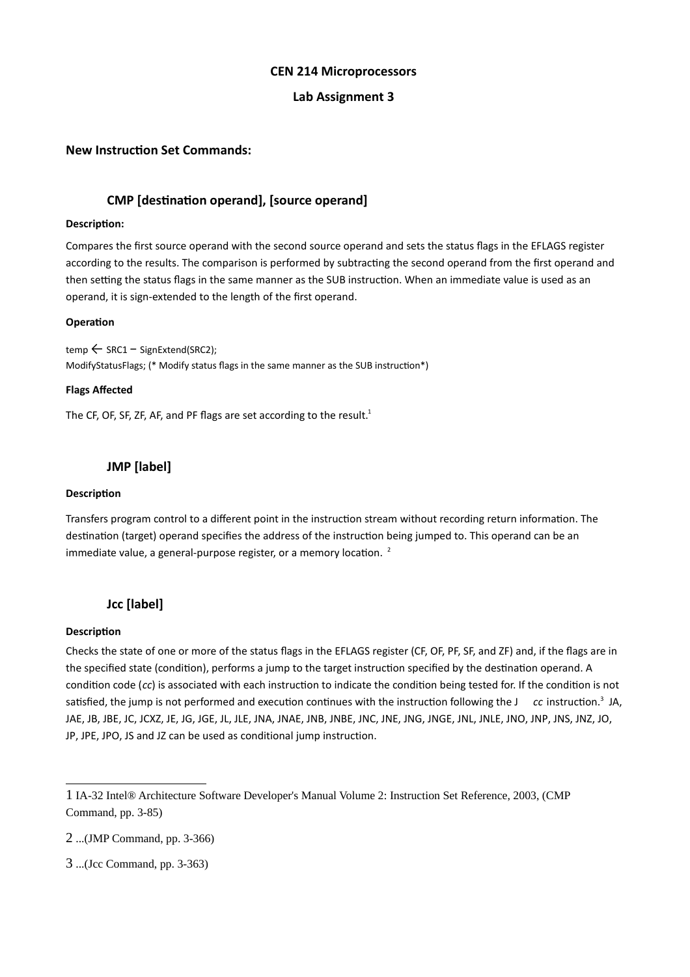#### **CEN 214 Microprocessors**

### **Lab Assignment 3**

### **New Instruction Set Commands:**

## **CMP [destination operand], [source operand]**

#### **Description:**

Compares the first source operand with the second source operand and sets the status flags in the EFLAGS register according to the results. The comparison is performed by subtracting the second operand from the first operand and then setting the status flags in the same manner as the SUB instruction. When an immediate value is used as an operand, it is sign-extended to the length of the first operand.

#### **Operation**

temp ← SRC1 − SignExtend(SRC2); ModifyStatusFlags; (\* Modify status flags in the same manner as the SUB instruction\*)

#### **Flags Affected**

The CF, OF, SF, ZF, AF, and PF flags are set according to the result.<sup>[1](#page-0-0)</sup>

## **JMP [label]**

#### **Description**

Transfers program control to a different point in the instruction stream without recording return information. The destination (target) operand specifies the address of the instruction being jumped to. This operand can be an immediate value, a general-purpose register, or a memory location.  $2$ 

### **Jcc [label]**

#### **Description**

Checks the state of one or more of the status flags in the EFLAGS register (CF, OF, PF, SF, and ZF) and, if the flags are in the specified state (condition), performs a jump to the target instruction specified by the destination operand. A condition code (*cc*) is associated with each instruction to indicate the condition being tested for. If the condition is not satisfied, the jump is not performed and execution continues with the instruction following the J *cc* instruction.<sup>[3](#page-0-2)</sup> JA, JAE, JB, JBE, JC, JCXZ, JE, JG, JGE, JL, JLE, JNA, JNAE, JNB, JNBE, JNC, JNE, JNG, JNGE, JNL, JNLE, JNO, JNP, JNS, JNZ, JO, JP, JPE, JPO, JS and JZ can be used as conditional jump instructi[o](#page-0-3)n.

<span id="page-0-0"></span><sup>1</sup> IA-32 Intel® Architecture Software Developer's Manual Volume 2: Instruction Set Reference, 2003, (CMP Command, pp. 3-85)

<span id="page-0-1"></span><sup>2</sup> ...(JMP Command, pp. 3-366)

<span id="page-0-3"></span><span id="page-0-2"></span><sup>3</sup> ...(Jcc Command, pp. 3-363)